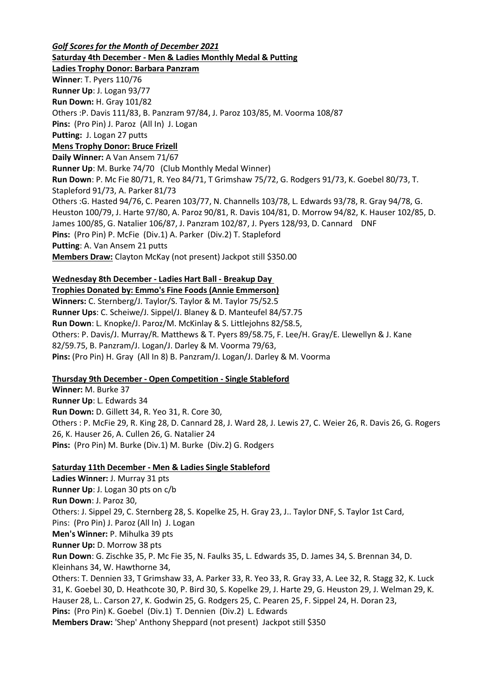*Golf Scores for the Month of December 2021* **Saturday 4th December - Men & Ladies Monthly Medal & Putting Ladies Trophy Donor: Barbara Panzram Winner**: T. Pyers 110/76 **Runner Up**: J. Logan 93/77 **Run Down:** H. Gray 101/82 Others :P. Davis 111/83, B. Panzram 97/84, J. Paroz 103/85, M. Voorma 108/87 **Pins:** (Pro Pin) J. Paroz (All In) J. Logan **Putting:** J. Logan 27 putts **Mens Trophy Donor: Bruce Frizell Daily Winner:** A Van Ansem 71/67 **Runner Up**: M. Burke 74/70 (Club Monthly Medal Winner) **Run Down**: P. Mc Fie 80/71, R. Yeo 84/71, T Grimshaw 75/72, G. Rodgers 91/73, K. Goebel 80/73, T. Stapleford 91/73, A. Parker 81/73 Others :G. Hasted 94/76, C. Pearen 103/77, N. Channells 103/78, L. Edwards 93/78, R. Gray 94/78, G. Heuston 100/79, J. Harte 97/80, A. Paroz 90/81, R. Davis 104/81, D. Morrow 94/82, K. Hauser 102/85, D. James 100/85, G. Natalier 106/87, J. Panzram 102/87, J. Pyers 128/93, D. Cannard DNF **Pins:** (Pro Pin) P. McFie (Div.1) A. Parker (Div.2) T. Stapleford **Putting**: A. Van Ansem 21 putts **Members Draw:** Clayton McKay (not present) Jackpot still \$350.00

### **Wednesday 8th December - Ladies Hart Ball - Breakup Day**

**Trophies Donated by: Emmo's Fine Foods (Annie Emmerson) Winners:** C. Sternberg/J. Taylor/S. Taylor & M. Taylor 75/52.5 **Runner Ups**: C. Scheiwe/J. Sippel/J. Blaney & D. Manteufel 84/57.75 **Run Down**: L. Knopke/J. Paroz/M. McKinlay & S. Littlejohns 82/58.5, Others: P. Davis/J. Murray/R. Matthews & T. Pyers 89/58.75, F. Lee/H. Gray/E. Llewellyn & J. Kane 82/59.75, B. Panzram/J. Logan/J. Darley & M. Voorma 79/63, **Pins:** (Pro Pin) H. Gray (All In 8) B. Panzram/J. Logan/J. Darley & M. Voorma

# **Thursday 9th December - Open Competition - Single Stableford**

**Winner:** M. Burke 37 **Runner Up**: L. Edwards 34 **Run Down:** D. Gillett 34, R. Yeo 31, R. Core 30, Others : P. McFie 29, R. King 28, D. Cannard 28, J. Ward 28, J. Lewis 27, C. Weier 26, R. Davis 26, G. Rogers 26, K. Hauser 26, A. Cullen 26, G. Natalier 24 **Pins:** (Pro Pin) M. Burke (Div.1) M. Burke (Div.2) G. Rodgers

### **Saturday 11th December - Men & Ladies Single Stableford**

**Ladies Winner:** J. Murray 31 pts **Runner Up**: J. Logan 30 pts on c/b **Run Down**: J. Paroz 30, Others: J. Sippel 29, C. Sternberg 28, S. Kopelke 25, H. Gray 23, J.. Taylor DNF, S. Taylor 1st Card, Pins: (Pro Pin) J. Paroz (All In) J. Logan **Men's Winner:** P. Mihulka 39 pts **Runner Up:** D. Morrow 38 pts **Run Down**: G. Zischke 35, P. Mc Fie 35, N. Faulks 35, L. Edwards 35, D. James 34, S. Brennan 34, D. Kleinhans 34, W. Hawthorne 34, Others: T. Dennien 33, T Grimshaw 33, A. Parker 33, R. Yeo 33, R. Gray 33, A. Lee 32, R. Stagg 32, K. Luck 31, K. Goebel 30, D. Heathcote 30, P. Bird 30, S. Kopelke 29, J. Harte 29, G. Heuston 29, J. Welman 29, K. Hauser 28, L.. Carson 27, K. Godwin 25, G. Rodgers 25, C. Pearen 25, F. Sippel 24, H. Doran 23, **Pins:** (Pro Pin) K. Goebel (Div.1) T. Dennien (Div.2) L. Edwards **Members Draw:** 'Shep' Anthony Sheppard (not present) Jackpot still \$350